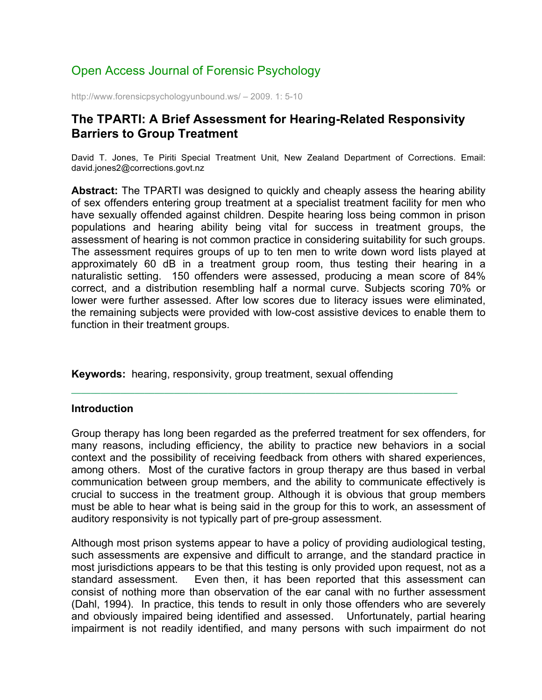# Open Access Journal of Forensic Psychology

http://www.forensicpsychologyunbound.ws/ – 2009. 1: 5-10

# **The TPARTI: A Brief Assessment for Hearing-Related Responsivity Barriers to Group Treatment**

David T. Jones, Te Piriti Special Treatment Unit, New Zealand Department of Corrections. Email: david.jones2@corrections.govt.nz

**Abstract:** The TPARTI was designed to quickly and cheaply assess the hearing ability of sex offenders entering group treatment at a specialist treatment facility for men who have sexually offended against children. Despite hearing loss being common in prison populations and hearing ability being vital for success in treatment groups, the assessment of hearing is not common practice in considering suitability for such groups. The assessment requires groups of up to ten men to write down word lists played at approximately 60 dB in a treatment group room, thus testing their hearing in a naturalistic setting. 150 offenders were assessed, producing a mean score of 84% correct, and a distribution resembling half a normal curve. Subjects scoring 70% or lower were further assessed. After low scores due to literacy issues were eliminated, the remaining subjects were provided with low-cost assistive devices to enable them to function in their treatment groups.

**Keywords:** hearing, responsivity, group treatment, sexual offending

## **Introduction**

Group therapy has long been regarded as the preferred treatment for sex offenders, for many reasons, including efficiency, the ability to practice new behaviors in a social context and the possibility of receiving feedback from others with shared experiences, among others. Most of the curative factors in group therapy are thus based in verbal communication between group members, and the ability to communicate effectively is crucial to success in the treatment group. Although it is obvious that group members must be able to hear what is being said in the group for this to work, an assessment of auditory responsivity is not typically part of pre-group assessment.

**¯¯¯¯¯¯¯¯¯¯¯¯¯¯¯¯¯¯¯¯¯¯¯¯¯¯¯¯¯¯¯¯¯¯¯¯¯¯¯¯¯¯¯¯¯¯¯¯¯¯¯¯¯¯¯¯¯¯¯¯¯¯¯¯¯¯¯¯¯¯¯¯¯¯¯¯¯¯¯**

Although most prison systems appear to have a policy of providing audiological testing, such assessments are expensive and difficult to arrange, and the standard practice in most jurisdictions appears to be that this testing is only provided upon request, not as a standard assessment. Even then, it has been reported that this assessment can consist of nothing more than observation of the ear canal with no further assessment (Dahl, 1994). In practice, this tends to result in only those offenders who are severely and obviously impaired being identified and assessed. Unfortunately, partial hearing impairment is not readily identified, and many persons with such impairment do not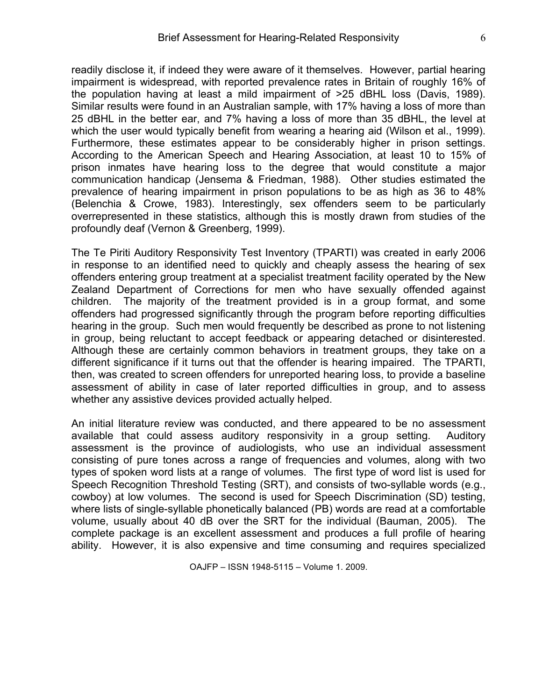readily disclose it, if indeed they were aware of it themselves. However, partial hearing impairment is widespread, with reported prevalence rates in Britain of roughly 16% of the population having at least a mild impairment of >25 dBHL loss (Davis, 1989). Similar results were found in an Australian sample, with 17% having a loss of more than 25 dBHL in the better ear, and 7% having a loss of more than 35 dBHL, the level at which the user would typically benefit from wearing a hearing aid (Wilson et al., 1999). Furthermore, these estimates appear to be considerably higher in prison settings. According to the American Speech and Hearing Association, at least 10 to 15% of prison inmates have hearing loss to the degree that would constitute a major communication handicap (Jensema & Friedman, 1988). Other studies estimated the prevalence of hearing impairment in prison populations to be as high as 36 to 48% (Belenchia & Crowe, 1983). Interestingly, sex offenders seem to be particularly overrepresented in these statistics, although this is mostly drawn from studies of the profoundly deaf (Vernon & Greenberg, 1999).

The Te Piriti Auditory Responsivity Test Inventory (TPARTI) was created in early 2006 in response to an identified need to quickly and cheaply assess the hearing of sex offenders entering group treatment at a specialist treatment facility operated by the New Zealand Department of Corrections for men who have sexually offended against children. The majority of the treatment provided is in a group format, and some offenders had progressed significantly through the program before reporting difficulties hearing in the group. Such men would frequently be described as prone to not listening in group, being reluctant to accept feedback or appearing detached or disinterested. Although these are certainly common behaviors in treatment groups, they take on a different significance if it turns out that the offender is hearing impaired. The TPARTI, then, was created to screen offenders for unreported hearing loss, to provide a baseline assessment of ability in case of later reported difficulties in group, and to assess whether any assistive devices provided actually helped.

An initial literature review was conducted, and there appeared to be no assessment available that could assess auditory responsivity in a group setting. Auditory assessment is the province of audiologists, who use an individual assessment consisting of pure tones across a range of frequencies and volumes, along with two types of spoken word lists at a range of volumes. The first type of word list is used for Speech Recognition Threshold Testing (SRT), and consists of two-syllable words (e.g., cowboy) at low volumes. The second is used for Speech Discrimination (SD) testing, where lists of single-syllable phonetically balanced (PB) words are read at a comfortable volume, usually about 40 dB over the SRT for the individual (Bauman, 2005). The complete package is an excellent assessment and produces a full profile of hearing ability. However, it is also expensive and time consuming and requires specialized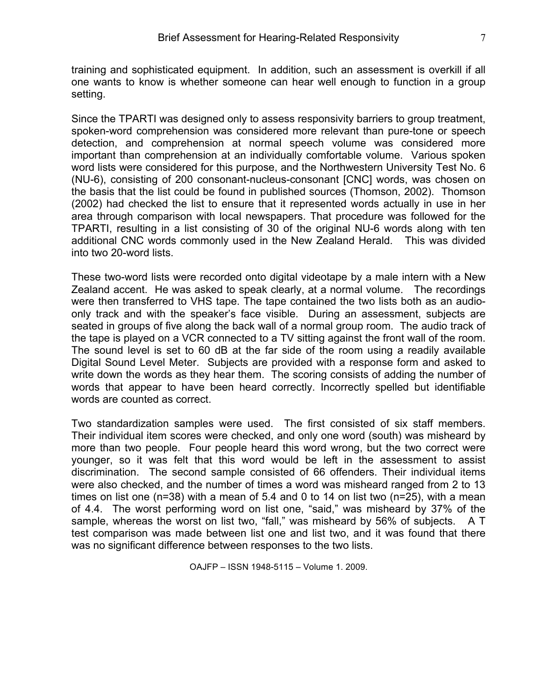Since the TPARTI was designed only to assess responsivity barriers to group treatment, spoken-word comprehension was considered more relevant than pure-tone or speech detection, and comprehension at normal speech volume was considered more important than comprehension at an individually comfortable volume. Various spoken word lists were considered for this purpose, and the Northwestern University Test No. 6 (NU-6), consisting of 200 consonant-nucleus-consonant [CNC] words, was chosen on the basis that the list could be found in published sources (Thomson, 2002). Thomson (2002) had checked the list to ensure that it represented words actually in use in her area through comparison with local newspapers. That procedure was followed for the TPARTI, resulting in a list consisting of 30 of the original NU-6 words along with ten additional CNC words commonly used in the New Zealand Herald. This was divided into two 20-word lists.

These two-word lists were recorded onto digital videotape by a male intern with a New Zealand accent. He was asked to speak clearly, at a normal volume. The recordings were then transferred to VHS tape. The tape contained the two lists both as an audioonly track and with the speaker's face visible. During an assessment, subjects are seated in groups of five along the back wall of a normal group room. The audio track of the tape is played on a VCR connected to a TV sitting against the front wall of the room. The sound level is set to 60 dB at the far side of the room using a readily available Digital Sound Level Meter. Subjects are provided with a response form and asked to write down the words as they hear them. The scoring consists of adding the number of words that appear to have been heard correctly. Incorrectly spelled but identifiable words are counted as correct.

Two standardization samples were used. The first consisted of six staff members. Their individual item scores were checked, and only one word (south) was misheard by more than two people. Four people heard this word wrong, but the two correct were younger, so it was felt that this word would be left in the assessment to assist discrimination. The second sample consisted of 66 offenders. Their individual items were also checked, and the number of times a word was misheard ranged from 2 to 13 times on list one (n=38) with a mean of 5.4 and 0 to 14 on list two (n=25), with a mean of 4.4. The worst performing word on list one, "said," was misheard by 37% of the sample, whereas the worst on list two, "fall," was misheard by 56% of subjects. A T test comparison was made between list one and list two, and it was found that there was no significant difference between responses to the two lists.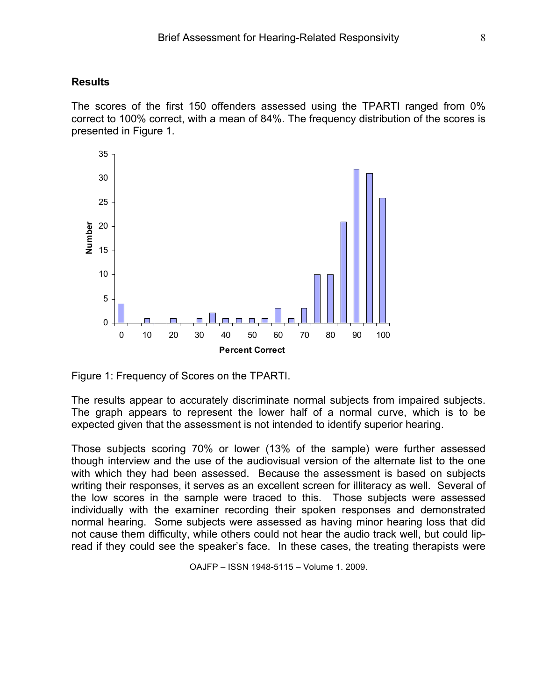#### **Results**

The scores of the first 150 offenders assessed using the TPARTI ranged from 0% correct to 100% correct, with a mean of 84%. The frequency distribution of the scores is presented in Figure 1.



Figure 1: Frequency of Scores on the TPARTI.

The results appear to accurately discriminate normal subjects from impaired subjects. The graph appears to represent the lower half of a normal curve, which is to be expected given that the assessment is not intended to identify superior hearing.

Those subjects scoring 70% or lower (13% of the sample) were further assessed though interview and the use of the audiovisual version of the alternate list to the one with which they had been assessed. Because the assessment is based on subjects writing their responses, it serves as an excellent screen for illiteracy as well. Several of the low scores in the sample were traced to this. Those subjects were assessed individually with the examiner recording their spoken responses and demonstrated normal hearing. Some subjects were assessed as having minor hearing loss that did not cause them difficulty, while others could not hear the audio track well, but could lipread if they could see the speaker's face. In these cases, the treating therapists were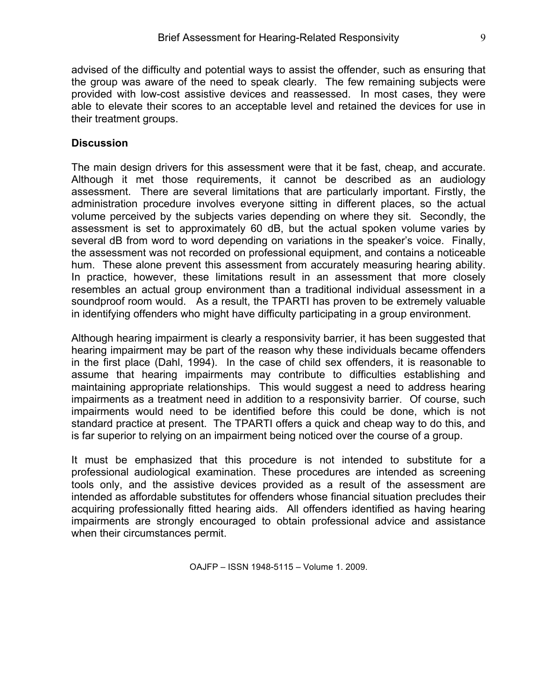advised of the difficulty and potential ways to assist the offender, such as ensuring that the group was aware of the need to speak clearly. The few remaining subjects were provided with low-cost assistive devices and reassessed. In most cases, they were able to elevate their scores to an acceptable level and retained the devices for use in their treatment groups.

# **Discussion**

The main design drivers for this assessment were that it be fast, cheap, and accurate. Although it met those requirements, it cannot be described as an audiology assessment. There are several limitations that are particularly important. Firstly, the administration procedure involves everyone sitting in different places, so the actual volume perceived by the subjects varies depending on where they sit. Secondly, the assessment is set to approximately 60 dB, but the actual spoken volume varies by several dB from word to word depending on variations in the speaker's voice. Finally, the assessment was not recorded on professional equipment, and contains a noticeable hum. These alone prevent this assessment from accurately measuring hearing ability. In practice, however, these limitations result in an assessment that more closely resembles an actual group environment than a traditional individual assessment in a soundproof room would. As a result, the TPARTI has proven to be extremely valuable in identifying offenders who might have difficulty participating in a group environment.

Although hearing impairment is clearly a responsivity barrier, it has been suggested that hearing impairment may be part of the reason why these individuals became offenders in the first place (Dahl, 1994). In the case of child sex offenders, it is reasonable to assume that hearing impairments may contribute to difficulties establishing and maintaining appropriate relationships. This would suggest a need to address hearing impairments as a treatment need in addition to a responsivity barrier. Of course, such impairments would need to be identified before this could be done, which is not standard practice at present. The TPARTI offers a quick and cheap way to do this, and is far superior to relying on an impairment being noticed over the course of a group.

It must be emphasized that this procedure is not intended to substitute for a professional audiological examination. These procedures are intended as screening tools only, and the assistive devices provided as a result of the assessment are intended as affordable substitutes for offenders whose financial situation precludes their acquiring professionally fitted hearing aids. All offenders identified as having hearing impairments are strongly encouraged to obtain professional advice and assistance when their circumstances permit.